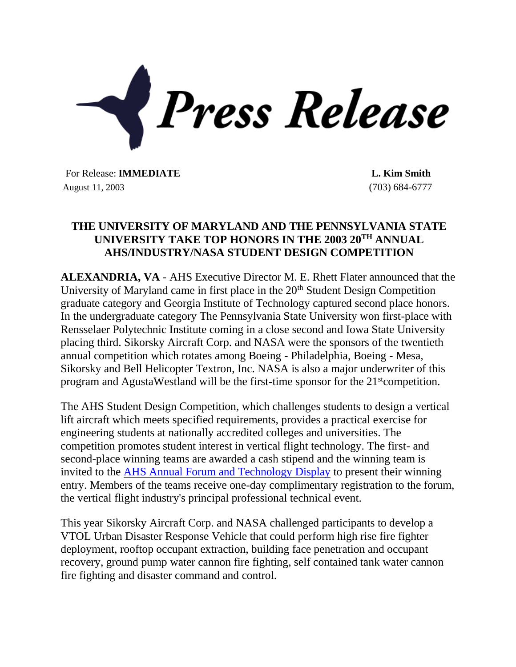

For Release: **IMMEDIATE L. Kim Smith** August 11, 2003 (703) 684-6777

## **THE UNIVERSITY OF MARYLAND AND THE PENNSYLVANIA STATE UNIVERSITY TAKE TOP HONORS IN THE 2003 20TH ANNUAL AHS/INDUSTRY/NASA STUDENT DESIGN COMPETITION**

**ALEXANDRIA, VA** - AHS Executive Director M. E. Rhett Flater announced that the University of Maryland came in first place in the 20<sup>th</sup> Student Design Competition graduate category and Georgia Institute of Technology captured second place honors. In the undergraduate category The Pennsylvania State University won first-place with Rensselaer Polytechnic Institute coming in a close second and Iowa State University placing third. Sikorsky Aircraft Corp. and NASA were the sponsors of the twentieth annual competition which rotates among Boeing - Philadelphia, Boeing - Mesa, Sikorsky and Bell Helicopter Textron, Inc. NASA is also a major underwriter of this program and AgustaWestland will be the first-time sponsor for the 21<sup>st</sup>competition.

The AHS Student Design Competition, which challenges students to design a vertical lift aircraft which meets specified requirements, provides a practical exercise for engineering students at nationally accredited colleges and universities. The competition promotes student interest in vertical flight technology. The first- and second-place winning teams are awarded a cash stipend and the winning team is invited to the [AHS Annual Forum and Technology Display](file://///helo/shared/ahsfrm.html) to present their winning entry. Members of the teams receive one-day complimentary registration to the forum, the vertical flight industry's principal professional technical event.

This year Sikorsky Aircraft Corp. and NASA challenged participants to develop a VTOL Urban Disaster Response Vehicle that could perform high rise fire fighter deployment, rooftop occupant extraction, building face penetration and occupant recovery, ground pump water cannon fire fighting, self contained tank water cannon fire fighting and disaster command and control.